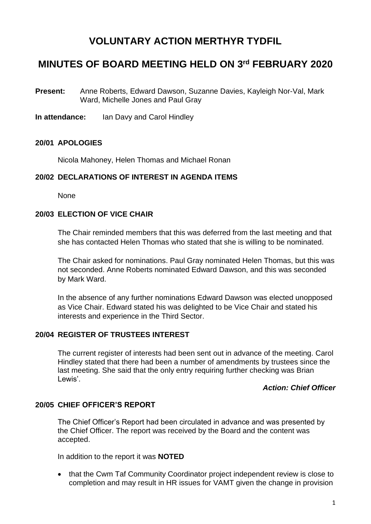# **VOLUNTARY ACTION MERTHYR TYDFIL**

# **MINUTES OF BOARD MEETING HELD ON 3 rd FEBRUARY 2020**

- **Present:** Anne Roberts, Edward Dawson, Suzanne Davies, Kayleigh Nor-Val, Mark Ward, Michelle Jones and Paul Gray
- **In attendance:** Ian Davy and Carol Hindley

## **20/01 APOLOGIES**

Nicola Mahoney, Helen Thomas and Michael Ronan

#### **20/02 DECLARATIONS OF INTEREST IN AGENDA ITEMS**

None

#### **20/03 ELECTION OF VICE CHAIR**

The Chair reminded members that this was deferred from the last meeting and that she has contacted Helen Thomas who stated that she is willing to be nominated.

The Chair asked for nominations. Paul Gray nominated Helen Thomas, but this was not seconded. Anne Roberts nominated Edward Dawson, and this was seconded by Mark Ward.

In the absence of any further nominations Edward Dawson was elected unopposed as Vice Chair. Edward stated his was delighted to be Vice Chair and stated his interests and experience in the Third Sector.

### **20/04 REGISTER OF TRUSTEES INTEREST**

The current register of interests had been sent out in advance of the meeting. Carol Hindley stated that there had been a number of amendments by trustees since the last meeting. She said that the only entry requiring further checking was Brian Lewis'.

### *Action: Chief Officer*

#### **20/05 CHIEF OFFICER'S REPORT**

The Chief Officer's Report had been circulated in advance and was presented by the Chief Officer. The report was received by the Board and the content was accepted.

In addition to the report it was **NOTED**

• that the Cwm Taf Community Coordinator project independent review is close to completion and may result in HR issues for VAMT given the change in provision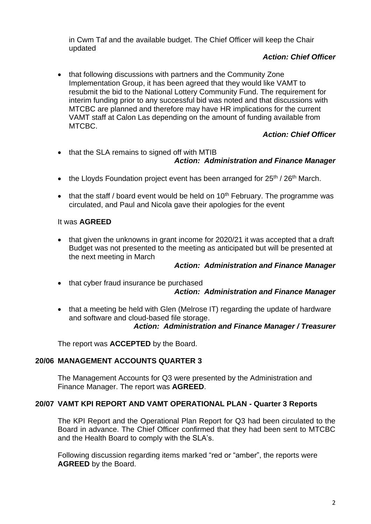in Cwm Taf and the available budget. The Chief Officer will keep the Chair updated

## *Action: Chief Officer*

• that following discussions with partners and the Community Zone Implementation Group, it has been agreed that they would like VAMT to resubmit the bid to the National Lottery Community Fund. The requirement for interim funding prior to any successful bid was noted and that discussions with MTCBC are planned and therefore may have HR implications for the current VAMT staff at Calon Las depending on the amount of funding available from MTCBC.

## *Action: Chief Officer*

- that the SLA remains to signed off with MTIB *Action: Administration and Finance Manager*
- the Lloyds Foundation project event has been arranged for  $25<sup>th</sup>$  /  $26<sup>th</sup>$  March.
- that the staff / board event would be held on  $10<sup>th</sup>$  February. The programme was circulated, and Paul and Nicola gave their apologies for the event

## It was **AGREED**

• that given the unknowns in grant income for 2020/21 it was accepted that a draft Budget was not presented to the meeting as anticipated but will be presented at the next meeting in March

### *Action: Administration and Finance Manager*

- that cyber fraud insurance be purchased *Action: Administration and Finance Manager*
- that a meeting be held with Glen (Melrose IT) regarding the update of hardware and software and cloud-based file storage. *Action: Administration and Finance Manager / Treasurer*

The report was **ACCEPTED** by the Board.

## **20/06 MANAGEMENT ACCOUNTS QUARTER 3**

The Management Accounts for Q3 were presented by the Administration and Finance Manager. The report was **AGREED**.

### **20/07 VAMT KPI REPORT AND VAMT OPERATIONAL PLAN - Quarter 3 Reports**

The KPI Report and the Operational Plan Report for Q3 had been circulated to the Board in advance. The Chief Officer confirmed that they had been sent to MTCBC and the Health Board to comply with the SLA's.

Following discussion regarding items marked "red or "amber", the reports were **AGREED** by the Board.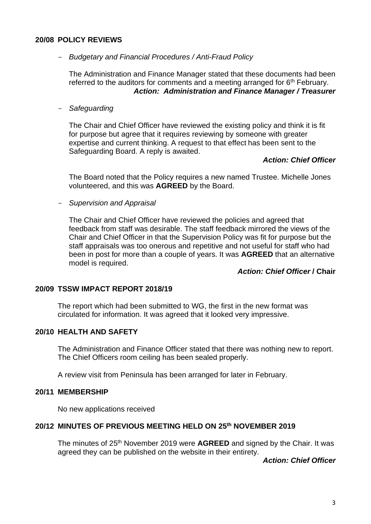#### **20/08 POLICY REVIEWS**

#### - *Budgetary and Financial Procedures / Anti-Fraud Policy*

The Administration and Finance Manager stated that these documents had been referred to the auditors for comments and a meeting arranged for  $6<sup>th</sup>$  February. *Action: Administration and Finance Manager / Treasurer*

- *Safeguarding* 

The Chair and Chief Officer have reviewed the existing policy and think it is fit for purpose but agree that it requires reviewing by someone with greater expertise and current thinking. A request to that effect has been sent to the Safeguarding Board. A reply is awaited.

#### *Action: Chief Officer*

The Board noted that the Policy requires a new named Trustee. Michelle Jones volunteered, and this was **AGREED** by the Board.

- *Supervision and Appraisal*

The Chair and Chief Officer have reviewed the policies and agreed that feedback from staff was desirable. The staff feedback mirrored the views of the Chair and Chief Officer in that the Supervision Policy was fit for purpose but the staff appraisals was too onerous and repetitive and not useful for staff who had been in post for more than a couple of years. It was **AGREED** that an alternative model is required.

#### *Action: Chief Officer* **/ Chair**

#### **20/09 TSSW IMPACT REPORT 2018/19**

The report which had been submitted to WG, the first in the new format was circulated for information. It was agreed that it looked very impressive.

### **20/10 HEALTH AND SAFETY**

The Administration and Finance Officer stated that there was nothing new to report. The Chief Officers room ceiling has been sealed properly.

A review visit from Peninsula has been arranged for later in February.

#### **20/11 MEMBERSHIP**

No new applications received

### **20/12 MINUTES OF PREVIOUS MEETING HELD ON 25 th NOVEMBER 2019**

The minutes of 25<sup>th</sup> November 2019 were **AGREED** and signed by the Chair. It was agreed they can be published on the website in their entirety.

*Action: Chief Officer*